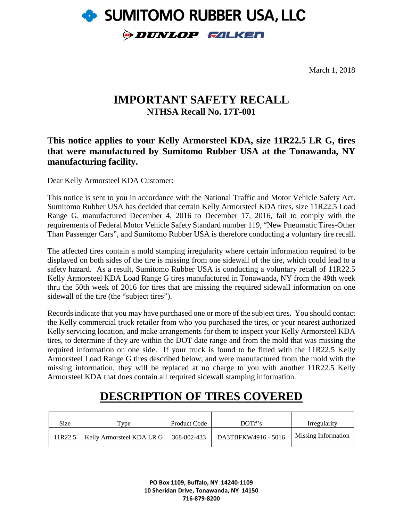

March 1, 2018

## **IMPORTANT SAFETY RECALL NTHSA Recall No. 17T-001**

### **This notice applies to your Kelly Armorsteel KDA, size 11R22.5 LR G, tires that were manufactured by Sumitomo Rubber USA at the Tonawanda, NY manufacturing facility.**

Dear Kelly Armorsteel KDA Customer:

This notice is sent to you in accordance with the National Traffic and Motor Vehicle Safety Act. Sumitomo Rubber USA has decided that certain Kelly Armorsteel KDA tires, size 11R22.5 Load Range G, manufactured December 4, 2016 to December 17, 2016, fail to comply with the requirements of Federal Motor Vehicle Safety Standard number 119, "New Pneumatic Tires-Other Than Passenger Cars", and Sumitomo Rubber USA is therefore conducting a voluntary tire recall.

The affected tires contain a mold stamping irregularity where certain information required to be displayed on both sides of the tire is missing from one sidewall of the tire, which could lead to a safety hazard. As a result, Sumitomo Rubber USA is conducting a voluntary recall of 11R22.5 Kelly Armorsteel KDA Load Range G tires manufactured in Tonawanda, NY from the 49th week thru the 50th week of 2016 for tires that are missing the required sidewall information on one sidewall of the tire (the "subject tires").

Records indicate that you may have purchased one or more of the subject tires. You should contact the Kelly commercial truck retailer from who you purchased the tires, or your nearest authorized Kelly servicing location, and make arrangements for them to inspect your Kelly Armorsteel KDA tires, to determine if they are within the DOT date range and from the mold that was missing the required information on one side. If your truck is found to be fitted with the 11R22.5 Kelly Armorsteel Load Range G tires described below, and were manufactured from the mold with the missing information, they will be replaced at no charge to you with another 11R22.5 Kelly Armorsteel KDA that does contain all required sidewall stamping information.

# **DESCRIPTION OF TIRES COVERED**

| Size    | $r_{VDE}$                                 | <b>Product Code</b> | DOT#s               | Irregularity        |
|---------|-------------------------------------------|---------------------|---------------------|---------------------|
| 11R22.5 | Kelly Armorsteel KDA LR G   $368-802-433$ |                     | DA3TBFKW4916 - 5016 | Missing Information |